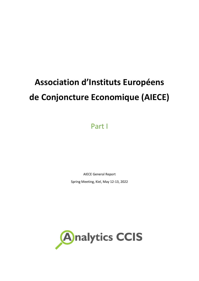# **Association d'Instituts Européens de Conjoncture Economique (AIECE)**

Part I

AIECE General Report

Spring Meeting, Kiel, May 12-13, 2022

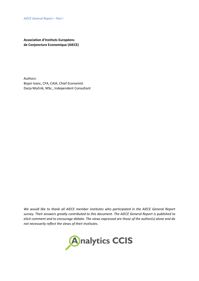**Association d'Instituts Européens de Conjoncture Economique (AIECE)**

Authors: Bojan Ivanc, CFA, CAIA, Chief Economist Darja Močnik, MSc., Independent Consultant

*We would like to thank all AIECE member institutes who participated in the AIECE General Report survey. Their answers greatly contributed to this document. The AIECE General Report is published to elicit comment and to encourage debate. The views expressed are those of the author(s) alone and do not necessarily reflect the views of their Institutes.*

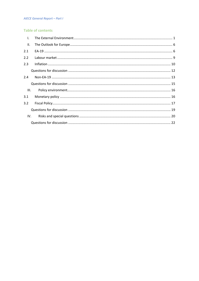# **AIECE General Report - Part I**

# **Table of contents**

| $\mathbf{L}$ |  |
|--------------|--|
| II.          |  |
| 2.1          |  |
| 2.2          |  |
| 2.3          |  |
|              |  |
| 2.4          |  |
|              |  |
| III.         |  |
| 3.1          |  |
| 3.2          |  |
|              |  |
| IV.          |  |
|              |  |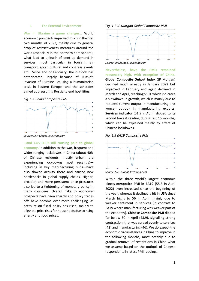#### <span id="page-3-0"></span>**I. The External Environment**

**War in Ukraine a game changer…** World economic prospects improved much in the first two months of 2022, mainly due to general drop of restrictiveness measures around the world (especially in the northern hemisphere), what lead to unleash of pent-up demand in services, most particular in tourism, air transport, sport, cultural and congress events etc. Since end of February, the outlook has deteriorated, largely because of Russia's invasion of Ukraine—causing a humanitarian crisis in Eastern Europe—and the sanctions aimed at pressuring Russia to end hostilities.





**…and COVID-19 still causing pain to global economy.** In addition to the war, frequent and wider-ranging lockdowns in China (about 40% of Chinese residents, mostly urban, are experiencing lockdowns most recently) including in key manufacturing hubs—have also slowed activity there and caused new bottlenecks in global supply chains. Higher, broader, and more persistent price pressures also led to a tightening of monetary policy in many countries. Overall risks to economic prospects have risen sharply and policy tradeoffs have become ever more challenging, as pressure on fiscal policy has risen, mainly to alleviate price rises for households due to rising energy and food prices.



*Source: JP Morgan, Investing.com*

**Nevertheless, have the PMIs remained reasonably high, with exception of China. Global Composite Output Index** (JP Morgan) declined much already in January 2022 but improved in February and again declined in March and April, reaching 51.0, which indicates a slowdown in growth, which is mainly due to reduced current output in manufacturing and worser outlook in manufacturing exports. **Services indicator** (51.9 in April) slipped to its second lowest reading during last 15 months, which can be explained mainly by effect of Chinese lockdowns.







Within the three world's largest economic blocks **composite PMI in EA19** (55.8 in April 2022) even increased since the beginning of the year, whereas it declined a bit in **USA** since March highs to 56 in April, mainly due to weaker sentiment in services (in contrast to EA19 where manufacturing was weaker part of the economy). **Chinese Composite PMI** dipped far below 50 in April (43.9), signalling strong contraction, that was spread evenly to services (42) and manufacturing (46). We do expect the economic circumstances in China to improve in the following months, most notably due to gradual removal of restrictions in China what we assume based on the outlook of Chinese respondents in latest PMI reading.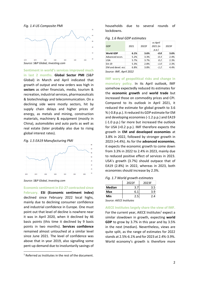

**Sentiment in world's services improved much in last 2 months. Global Sector PMI** (S&P Global) in March and April indicated that growth of output and new orders was high in **sectors** as other financials, media, tourism & recreation, industrial services, pharmaceuticals & biotechnology and telecommunication. On a declining side were mostly sectors, hit by supply chain delays and higher prices of energy, as metals and mining, construction materials, machinery & equipment (mostly in China), automobiles and auto parts as well as real estate (later probably also due to rising global interest rates).

## *Fig. 1.5 EA19 Manufacturing PMI*



*Source: S&P Global, Investing.com*

**Economic sentiment in EU-27 contracted since February. ESI (Economic sentiment index)** declined since February 2022 local highs, mainly due to declining consumer confidence and industrial confidence in Europe. One must point out that level of decline is nowhere near it was in April 2020, when it declined by 46 basis points (this time it declined by 9 basis points in two months). **Services confidence** remained almost untouched at a similar level since June 2021. The level of confidence was above that in year 2019, also signalling some pent-up demand due to involuntarily savings of

households due to several rounds of lockdowns.

*Fig. 1.6 Real GDP estimates*

| GDP               | 2021 | 2022F | vs April<br>2021 (in<br>p.p. | 2023F |
|-------------------|------|-------|------------------------------|-------|
| <b>World GDP</b>  | 6.1% | 3.6%  | $-0.8$                       | 3.6%  |
| Advanced econ.    | 5.2% | 3.3%  | $-0.3$                       | 2.4%  |
| <b>USA</b>        | 5.7% | 3.7%  | 0.2                          | 2.3%  |
| EA-19             | 5.3% | 2.8%  | $-1.0$                       | 2.3%  |
| EM and devel, ecc | 6.8% | 3.8%  | $-1.2$                       | 4.4%  |
|                   |      |       |                              |       |

*Source: IMF, April 2022*

**IMF wary of geopolitical risks and change in monetary policy.** In its April outlook, IMF somehow expectedly reduced its estimates for the **economic growth** and **world trade** but increased those on commodity prices and CPI. Compared to its outlook in April 2021, it reduced the estimate for global growth to 3.6 % (-0.8 p.p.). It reduced its GDP estimate for EM and developing economies (-1.2 p.p.) and EA19 (-1.0 p.p.) far more but increased the outlook for USA (+0.2 p.p.). IMF therefore expects the growth in **EM and developed economies** at 3.8% in 2022, followed by stronger growth in 2023 (+4.4%). As for the **advanced economies**, it expects the economic growth to come down from 3.3% in 2022 to 2.4% in 2023, mainly due to reduced positive effect of services in 2023. USA's growth (3.7%) should outpace that of EA19 (2.8%) in 2022, whereas in 2023, both economies should increase by 2.3%.

|  |  |  | Fig. 1.7 World growth estimates |
|--|--|--|---------------------------------|
|--|--|--|---------------------------------|

|               | 2022F | 2023F |  |
|---------------|-------|-------|--|
| <b>Median</b> | 3.7   | 3.5   |  |
| Max           | 6.1   | 3.9   |  |
| Min           | 2.5   | 2.4   |  |
|               | .     |       |  |

*Source: AIECE Institutes*

**AIECE Institutes largely share the view of IMF.** For the current year, AIECE Institutes<sup>1</sup> expect a similar slowdown in growth, expecting **world GDP** to grow by 3.7% in this year and by 3.5% in the next (median). Nevertheless, views are quite split, as the range of estimates for 2022 stands at 2.5%-6.1% and for 2023 at 2.4%-3.9%. World economy's growth is therefore more

<sup>&</sup>lt;sup>1</sup> Referred as Institutes in the rest of the document.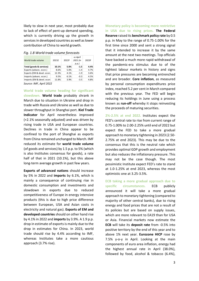likely to slow in next year, most probably due to lack of effect of pent-up demand spending, which is currently driving up the growth in services in developed countries as well as lower contribution of China to world growth.

| World trade volume         | 2021E | 2022F | vs April<br>2021 (in<br>p.p. | 2023F |
|----------------------------|-------|-------|------------------------------|-------|
| Total (goods & services)   | 10.1% | 5.0%  | $-1.5$                       | 4.4%  |
| Exports (advanc. econ.)    | 8.6%  | 5.0%  | $-1.4$                       | 4.7%  |
| Exports (EM & devel. econ. | 12.3% | 4.1%  | $-1.9$                       | 3.6%  |
| Imports (advanc. econ.)    | 9.5%  | 6.1%  | $-0.3$                       | 4.5%  |
| Imports (EM & devel. econ  | 11.8% | 3.9%  | $-3.5$                       | 4.8%  |
|                            |       |       |                              |       |

*Source: IMF, April 2022*

**World trade volume heading for significant slowdown. World trade** probably shrank in March due to situation in Ukraine and drop in trade with Russia and Ukraine as well as due to slower throughput in Shanghai port. **Kiel Trade Indicator** for April nevertheless improved (+2.1% seasonally adjusted) and was driven by rising trade in USA and European countries. Declines in trade in China appear to be confined to the port of Shanghai as exports from China remained unchanged to March. IMF reduced its estimate for **world trade volume** (of goods and services) by 1.5 p.p. to 5% (which is also Institutes consensus for goods), a rate half of that in 2021 (10.1%), but this above long-term average growth in past few years.

**Exports of advanced nations** should increase by 5% in 2022 and **imports** by 6.1%, which is mainly a consequence of continuing rise in domestic consumption and investments and slowdown in exports due to reduced competitiveness of Europe in energy intensive products (this is due to high price difference between European, USA and Asian costs in electricity and natural gas). **Exports of EM and developed countries** should on other hand rise by 4.1% in 2022 and **imports** by 3.9%. A 1.9 p.p. drop in estimate of exports is mainly due to the drop in estimates for China. In 2023, world trade should rise by 4.4% according to IMF, whereas Institutes take a more cautious approach (3.7% rise).

**Monetary policy is becoming more restrictive in USA due to rising prices. The Federal Reserve** raised its **benchmark policy rate** by 0.5 p.p. in May to the range of 0.75-1.00% for the first time since 2000 and sent a strong signal that it intended to increase it by the same amount at the next two meetings. Top officials have backed a much more rapid withdrawal of the pandemic-era stimulus due to of the tightest labour markets in history and signs that price pressures are becoming entrenched and are broader. **Core inflation**, as measured by personal consumption expenditures price index, reached 5.2 per cent in March compared with the previous year. The FED will begin reducing its holdings in June using a process known as **run-off** whereby it stops reinvesting the proceeds of maturing securities.

**2%-2.5% at end 2022.** Institutes expect the FED's central rate to rise from current range of 0.75-1.00% to 2.00-2.25% until end of 2022 but expect the FED to take a more gradual approach to monetary tightening in 2023 (2.50- 2.75% at end 2023). This may be due to the consensus that this is the neutral rate which provides optimal GDP growth and employment but also reduces the inflationary pressure. This may not be the case though. The most pessimistic Institute expect FED's rate to stand at 1.0-1.25% at end 2023, whereas the most optimistic one at 3.25-3.5%.

**ECB taking a more gradual approach due to specific circumstances.** ECB publicly announced it will take a more gradual approach to monetary tightening (compared to majority of other central banks), due to rising energy and food prices that are not a result of its policies but are based on supply issues, which are more relevant to EA19 than for USA or Asia. Financial markets now estimate the **ECB** will take its **deposit rate** from -0.5% into positive territory by the end of this year and to above 1% next year. **Eurozone HICP** rose by 7.5% y-o-y in April. Looking at the main components of euro area inflation, energy had the highest annual rate in April (38.0%), followed by food, alcohol & tobacco (6.4%),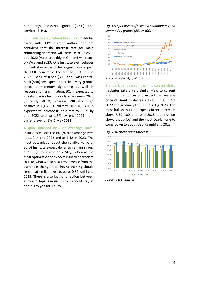non-energy industrial goods (3.8%) and services (3.3%).

**ECB likely to stay behind the curve.** Institutes agree with ECB's current outlook and are confident that the **interest rate for main refinancing operation** will increase to 0.25% at end 2022 (most probably in Q4) and will reach 0.75% at end 2023. One Institute even believes ECB will stay put and the biggest hawk expect the ECB to increase the rate to 1.5% in end 2023. Bank of Japan (BOJ) and Swiss central bank (SNB) are expected to take a very gradual steps to monetary tightening as well in response to rising inflation. BOJ is expected to go into positive territory only in beginning 2023 (currently: -0.1%) whereas SNB should go positive in Q1 2023 (current: -0.75%). BOE is expected to increase its base rate to 1.25% by end 2022 and to 1.5% by end 2023 from current level of 1% (5 May 2022).

**A quite nuanced view on exchange rates.**

Institutes expect the **EUR/USD exchange rate** at 1.10 in end 2022 and at 1.12 in 2023. The most pessimistic (about the relative value of euro) Institute expect dollar to remain strong at 1.05 (current rate on 7 May), whereas the most optimistic one expects euro to appreciate to 1.18, what would be a 12% increase from the current exchange rate. **Pound sterling** should remain at similar levels to euro (0.84) until end 2023. There is also lack of direction between euro and **Japanese yen**, which should stay at about 125 yen for 1 euro.

*Fig. 1.9 Spot prices of selected commodities and commodity groups (2019=100)*



*Source: World Bank, April 2022*

**Brent price should come off the current highs.** Institutes take a very similar view to current Brent futures prices and expect the **average price of Brent** to decrease to USD 100 in Q3 2022 and gradually to USD 83 in Q4 2023. The most bullish Institute expects Brent to remain above USD 100 until end 2023 (but not far above that price) and the most bearish one to come down to about USD 75 until end 2023.





*Source: AIECE Institutes*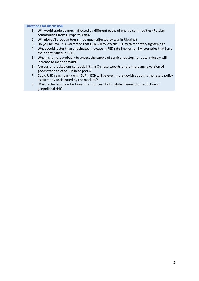**Questions for discussion**

- 1. Will world trade be much affected by different paths of energy commodities (Russian commodities from Europe to Asia)?
- 2. Will global/European tourism be much affected by war in Ukraine?
- 3. Do you believe it is warranted that ECB will follow the FED with monetary tightening?
- 4. What could faster than anticipated increase in FED rate implies for EM countries that have their debt issued in USD?
- 5. When is it most probably to expect the supply of semiconductors for auto industry will increase to meet demand?
- 6. Are current lockdowns seriously hitting Chinese exports or are there any diversion of goods trade to other Chinese ports?
- 7. Could USD reach parity with EUR if ECB will be even more dovish about its monetary policy as currently anticipated by the markets?
- 8. What is the rationale for lower Brent prices? Fall in global demand or reduction in geopolitical risk?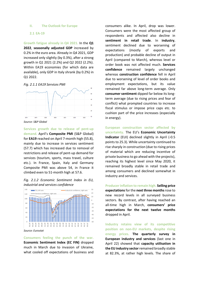## <span id="page-8-0"></span>**II. The Outlook for Europe**

#### <span id="page-8-1"></span>**2.1 EA-19**

**Growth fatigue already in Q4 2021.** In the **Q1 2022**, **seasonally adjusted GDP** increased by 0.2% in the euro area. Already in Q4 2021, GDP increased only slightly (by 0.3%), after a strong growth in Q1 2021 (2.2%) and Q2 2022 (2.2%). Within EA19 economies (for which data are available), only GDP in Italy shrank (by 0.2%) in Q1 2022.





*Source: S&P Global*

**Services growth due to release of pent-up demand.** April's **Composite PMI** (S&P Global) for **EA19** reached on April 7-month high (55.8), mainly due to increase in services sentiment (57.7) which has increased due to removal of restrictions and release of pent-up demand for services (tourism, sports, mass travel, culture etc.). In France, Spain, Italy and Germany Composite PMI was above 54, in France it climbed even to 51-month high at 57.6.





*Source: Eurostat*

**Consumers feeling the punch of the war. Economic Sentiment Index (EC FIN)** dropped much in March due to invasion of Ukraine, what cooled off expectations of business and consumers alike. In April, drop was lower. Consumers were the most affected group of respondents and affected also decline in **sentiment in retail trade**. In **industry**, sentiment declined due to worsening of expectations (mostly of exports and production) and probable decline of output in April (compared to March), whereas level or order book was not affected much. **Services confidence** remained largely unchanged whereas **construction confidence** fell in April due to worsening of level of order books and employment expectations, but its value remained far above long-term average. Only **consumer sentiment** dipped far below its longterm average (due to rising prices and fear of conflict) what prompted countries to increase fiscal stimulus or impose price caps etc. to cushion part of the price increases (especially in energy).

**European construction sector affected by uncertainty.** The EU's **Economic Uncertainty Indicator** (EUI) declined slightly in April (-0.5 points to 25.3). While uncertainty continued to rise sharply in construction (due to rising prices of material which are reducing incentive of private business to go ahead with the projects), reaching its highest level since May 2020, it remained broadly stable in retail trade and among consumers and declined somewhat in industry and services.

**Producer inflation to remain high. Selling price expectations**for the **next three months**rose to new record levels in all surveyed business sectors. By contrast, after having reached an all-time high in March, **consumers' price expectations for the next twelve months** dropped in April.

**Industry retains view of its competitive position on non-EU markets, despite rising energy prices. The quarterly survey in European industry and services** (last one in April 22) showed that **capacity utilisation in the EU industry sector**remained broadly stable at 82.3%, at rather high levels. The share of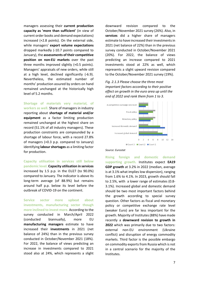managers assessing their **current production capacity as 'more than sufficient'** (in view of current order books and demand expectations) increased (+2.8 points). On the external side, while managers' **export volume expectations** dropped markedly (-10.7 points compared to January), the **assessments of their competitive position on non-EU markets** over the past three months improved slightly (+0.5 points). Managers' appraisals of new orders, while still at a high level, declined significantly (-6.9). Nevertheless, the estimated number of months' production assured by orders on hand remained unchanged at the historically high level of 5.2 months.

**Shortage of materials very material, of workers as well.** Share of managers in industry reporting about **shortage of material and/or equipment** as a factor limiting production remained unchanged at the highest share on record (51.1% of all industry managers). These production constraints are compounded by a shortage of labour force, with a record 27.8% of managers (+0.3 p.p. compared to January) identifying **labour shortages** as a limiting factor for production.

**Capacity utilisation in services still below pandemic level. Capacity utilisation in services** increased by 1.5 p.p. in the EU27 (to 90.0%) compared to January. The indicator is above its long-term average (of 88.9%) but remains around half p.p. below its level before the outbreak of COVID-19 on the continent.

**Service sector more upbeat about investments, manufacturing sector though more inclined to invest more.** According to the survey conducted in March/April 2022 (conducted biannually), more EU **manufacturing managers** estimate to have increased their **investments** in 2021 (net balance of 24%) than in the previous survey conducted in October/November 2021 (18%). For 2022, the balance of views predicting an increase in investments compared to 2021 stood also at 24%, which represents a slight downward revision compared to the October/November 2021 survey (26%). Also, in **services** did a higher share of managers estimate to have increased their investments in 2021 (net balance of 22%) than in the previous survey conducted in October/November 2021 (20%). For 2022, the balance of views predicting an increase compared to 2021 investments stood at 22% as well, which represents a slight upward revision compared to the October/November 2021 survey (19%).

*Fig. 2.1.3 Please choose the three most important factors according to their positive effect on growth in the euro area up until the end of 2022 and rank them from 1 to 3.*



#### *Source: Eurostat*

**Rising foreign and domestic demand supporting growth.** Institutes expect **EA19 GDP growth** at 3.2% in 2022 (median, average is at 3.1% what implies low dispersion), ranging from 1.6% to 4.1%. In 2023, growth should fall to 2.5%, with a lower range of estimates (0.8- 3.1%). Increased global and domestic demand should be two most important factors behind the growth according to special survey question. Other factors as fiscal and monetary policy or competitive exchange rate level (weaker Euro) are far less important for the growth. Majority of Institutes (88%) have made recently a **downward revision to growth in 2022** which was primarily due to two factors: external non-EU environment (Ukraine conflict) and disruption of energy commodity markets. Third factor is the possible embargo on commodity exports from Russia which is not in a central scenario for the majority of the Institutes.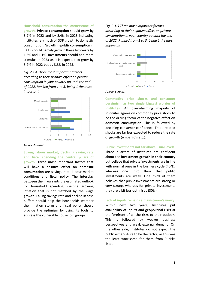**Household consumption the cornerstone of growth. Private consumption** should grow by 3.9% in 2022 and by 2.4% in 2023 indicating Institutes rely much of GDP growth to domestic consumption. Growth in **public consumption** in EA19 should namely grow in these two years by 1.5% and 1.1%. **Investments** should add more stimulus in 2023 as it is expected to grow by 3.2% in 2022 but by 3.8% in 2023.

*Fig. 2.1.4 Three most important factors according to their positive effect on private consumption in your country up until the end of 2022. Ranked from 1 to 3, being 1 the most important.* 



#### *Source: Eurostat*

**Strong labour market, declining saving rate and fiscal spending the central pillars of growth. Three most important factors that will have a positive effect on domestic consumption** are savings rate, labour market conditions and fiscal policy. The interplay between them warrants the estimated outlook for household spending, despite growing inflation that is not matched by the wage growth. Falling savings rate and decline in cash buffers should help the households weather the inflation storm and fiscal policy should provide the optimism by using its tools to address the vulnerable household groups.

*Fig. 2.1.5 Three most important factors according to their negative effect on private consumption in your country up until the end of 2022. Ranked from 1 to 3, being 1 the most important.* 



#### *Source: Eurostat*

**Commodity price shocks and consumer pessimism as two single biggest worries of Institutes.** An overwhelming majority of Institutes agrees on commodity price shock to be the driving factor of the **negative effect on domestic consumption**. This is followed by declining consumer confidence. Trade related shocks are far less expected to reduce the rate of growth (embargo's etc.).

#### **Public investments not far above usual levels.**

Three quarters of Institutes are confident about the **investment growth in their country** but believe that private investments are in line with normal ones in the business cycle (40%), whereas one third think that public investments are weak. One third of them believes that public investments are strong or very strong, whereas for private investments they are a bit less optimistic (30%).

**Lack of inputs remains a mainstream's worry.** Within next two years, Institutes put **availability of inputs and geopolitical risks** at the forefront of all the risks to their outlook. This is followed by weaker business perspectives and weak external demand. On the other side, Institutes do not expect the public expenditure to be the factor, as this was the least worrisome for them from 9 risks listed.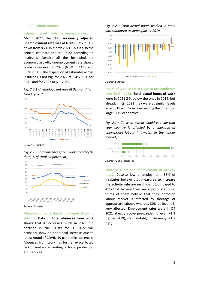## <span id="page-11-0"></span>**2.2 Labour market**

**Labour market likely to remain strong.** In March 2022, the EA19 **seasonally adjusted unemployment rate** was at 6.8% (6.2% in EU), down from 8.2% in March 2021. This is also the central estimate for the 2022 according to Institutes. Despite all the headwinds to economic growth, unemployment rate should come down even in 2023 (6.5% in EA19 and 5.9% in EU). The dispersion of estimates across Institutes is not big, for 2022 at 6.4%-7.9% for EA19 and for 2023 at 6.3-7.7%.

*Fig. 2.2.1 Unemployment rate (ILO), monthly, trend cycle data*



*Source: Eurostat*

*Fig. 2.2.2 Total absences from work (trend cycle data, % of total employment)*



*Source: Eurostat*

**Absences of work due to pandemic likely to subside.** Data on **total absences from work** shows that it increased much in 2020 but declined in 2021. Data for Q1 2022 will probably show an additional increase due to latest round of COVID-19 pandemics absences. Absences from work has further exacerbated lack of workers as limiting factor in production and services.





*Source: Eurostat*

**Hours of work in EA19 close to pre-pandemic level in Q4 2022. Total actual hours of work** were in 2021 2 % below the ones in 2019, but already in Q4 2022 they were at similar levels as in 2019 with France exceeding the other two large EA19 economies.

*Fig. 2.2.4 To what extent would you say that your country is affected by a shortage of appropriate labour (mismatch in the labour market)?*



**There is room for improvement of activity rates.** Despite low unemployment, 36% of Institutes believe that **measures to increase the activity rate** are insufficient (compared to 41% that believe they are appropriate). Two thirds of them believe that their domestic labour market is affected by shortage of appropriate labour, whereas 30% believe it is very affected. **Employment rates** were in Q4 2021 already above pre-pandemic level (+1.3 p.p. in EA19), most notably in Germany (+1.7 p.p.).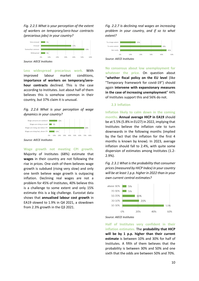*Fig. 2.2.5 What is your perception of the extent of workers on temporary/zero-hour contracts (precarious jobs) in your country?*



*Source: AIECE Institutes*

**Less widespread precarious work.** With improved labour market conditions, **importance of workers on temporary/zerohour contracts** declined. This is the case according to Institutes. Just about half of them believes this is somehow common in their country, but 37% claim it is unusual.

## *Fig. 2.2.6 What is your perception of wage dynamics in your country?*



*Source: AIECE Institutes*

**Wage growth not meeting CPI growth.** Majority of Institutes (68%) estimate that **wages** in their country are not following the rise in prices. One sixth of them believes wage growth is subdued (rising very slow) and only one tenth believe wage growth is outpacing inflation. Declining real wages are not a problem for 45% of Institutes, 40% believe this is a challenge to some extent and only 15% estimate this is a big challenge. Eurostat data shows that **annualised labour cost growth** in EA19 slowed to 1.9% in Q4 2021, a slowdown from 2.3% growth in the Q3 2021.

*Fig. 2.2.7 Is declining real wages an increasing problem in your country, and if so to what extent?*



**No consensus about low unemployment for whatever the price.** On question about "**whether fiscal policy on the EU level** (like "Temporary framework for covid-19") should again **intervene with expansionary measures in the case of increasing unemployment**" 44% of Institutes support this and 56% do not.

## <span id="page-12-0"></span>**2.3 Inflation**

**Inflation likely to calm down in the coming months. Annual average HICP in EA19** should be at 5.5% (5.8% in EU27) in 2022, implying that Institutes believe the inflation rate to turn downwards in the following months (implied by the fact that the inflation for the first 4 months is known by know). In 2023, average inflation should fall to 2.4%, with quite some dispersion of estimates among Institutes (1.2- 2.9%).

*Fig. 2.3.1 What is the probability that consumer prices (measured by HICP Index) in your country will be at least 1 p.p. higher in 2022 than in your own current central estimates?* 





**Half of Institutes very confident in their inflation estimates.** The **probability that HICP will be by 1 p.p. higher than their current estimate** is between 10% and 30% for half of Institutes. A fifth of them believes that the probability is between 30% and 50% and one sixth that the odds are between 50% and 70%.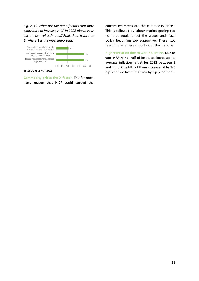*Fig. 2.3.2 What are the main factors that may contribute to increase HICP in 2022 above your current central estimates? Rank them from 1 to 3, where 1 is the most important.*



*Source: AIECE Institutes*

**Commodity prices the X factor.** The far most likely **reason that HICP could exceed the**  **current estimates** are the commodity prices. This is followed by labour market getting too hot that would affect the wages and fiscal policy becoming too supportive. These two reasons are far less important as the first one.

**Higher inflation due to war in Ukraine. Due to war in Ukraine**, half of Institutes increased its **average inflation target for 2022** between 1 and 2 p.p. One fifth of them increased it by 2-3 p.p. and two Institutes even by 3 p.p. or more.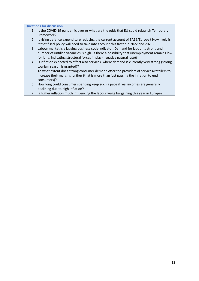<span id="page-14-0"></span>**Questions for discussion**

- 1. Is the COVID-19 pandemic over or what are the odds that EU could relaunch Temporary Framework?
- 2. Is rising defence expenditure reducing the current account of EA19/Europe? How likely is it that fiscal policy will need to take into account this factor in 2022 and 2023?
- 3. Labour market is a lagging business cycle indicator. Demand for labour is strong and number of unfilled vacancies is high. Is there a possibility that unemployment remains low for long, indicating structural forces in play (negative natural rate)?
- 4. Is inflation expected to affect also services, where demand is currently very strong (strong tourism season is granted)?
- 5. To what extent does strong consumer demand offer the providers of services/retailers to increase their margins further (that is more than just passing the inflation to end consumers)?
- 6. How long could consumer spending keep such a pace if real incomes are generally declining due to high inflation?
- 7. Is higher inflation much influencing the labour wage bargaining this year in Europe?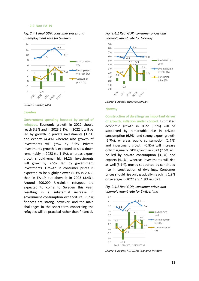#### <span id="page-15-0"></span>**2.4 Non-EA-19**

*Fig. 2.4.1 Real GDP, consumer prices and unemployment rate for Sweden*





#### **Sweden**

#### **Government spending boosted by arrival of**

**refugees.** Economic growth in 2022 should reach 3.3% and in 2023 2.1%. In 2022 it will be led by growth in private investments (3.7%) and exports (4.4%) whereas also growth of investments will grow by 3.5%. Private investments growth is expected so slow down remarkably in 2023 (to 1.1%), whereas export growth should remain high (4.2%). Investments will grow by 2.5%, led by government investments. Growth in consumer prices is expected to be slightly slower (5.3% in 2022) than in EA-19 but above it in 2023 (3.4%). Around 200,000 Ukrainian refugees are expected to come to Sweden this year, resulting in a substantial increase in government consumption expenditure. Public finances are strong, however, and the main challenges in the short-term concerning the refugees will be practical rather than financial.

# *Fig. 2.4.1 Real GDP, consumer prices and unemployment rate for Norway*



*Source: Eurostat, Statistics Norway*

#### **Norway**

**Construction of dwellings an important driver of growth, inflation under control.** Estimated economic growth in 2022 (3.9%) will be supported by remarkable rise in private consumption (6.9%) and strong export growth (6.7%), whereas public consumption (1.7%) and investment growth (0.8%) will increase only marginally. GDP growth in 2023 (2.6%) will be led by private consumption (3.1%) and exports (4.1%), whereas investments will rise as well (3.1%), mostly supported by continued rise in construction of dwellings. Consumer prices should rise only gradually, reaching 1.8% on average in 2022 and 1.9% in 2023.





*Source: Eurostat, KOF Swiss Economic Institute*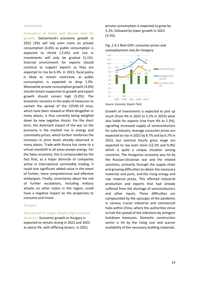## **Switzerland**

**Consumers at home and abroad vital for growth.** Switzerland's economic growth in 2022 (3%) will rely even more on private consumption (4.6%) as public consumption is expected to shrink (-2.6%) and rise in investments will only be gradual (1.1%). External environment for exports should continue to support exports as they are expected to rise by 6.3%. In 2023, fiscal policy is likely to remain restrictive, as public consumption is expected to drop 1.9%. Meanwhile private consumption growth (3.0%) should remain supportive to growth and export growth should remain high (5.0%). The economic recovery in the wake of measures to contain the spread of the COVID-19 virus, which have been relaxed or lifted altogether in many places, is thus currently being weighed down by new negative shocks. For the short term, the dominant impact of the war on the economy is the marked rise in energy and commodity prices, which further reinforces the increases in price levels already observed in many places. Trade with Russia has come to a virtual standstill in all areas except energy. For the Swiss economy, this is compounded by the fact that, as a major domicile of companies active in international commodity trading, it could lose significant added value in the event of further, more comprehensive and effective embargoes. Finally, uncertainty about the risk of further escalations, including military attacks on other states in the region, could have a negative impact on the propensity to consume and invest.

## **Hungary**

**Real growth in wages despite high pressure on prices.** Economic growth in Hungary is expected to remain strong in 2022 and 2023 at about 4%, with differing drivers. In 2022,

private consumption is expected to grow by 5.2%, followed by lower growth in 2023 (3.5%).



## *Fig. 2.4.1 Real GDP, consumer prices and unemployment rate for Hungary*



Growth of investments is expected to pick up much (from 4% in 2022 to 5.2% in 2023) what also holds for exports (rise from 4% to 5.3%), signalling increased supply of semiconductors for auto industry. Average consumer prices are expected to rise in 2022 by 8.7% and by 6.7% in 2023, but nominal hourly gross wage are expected to rise even more (12.3% and 9.0%) which is quite a unique situation among countries. The Hungarian economy was hit by the Russian-Ukrainian war and the related sanctions, primarily through the supply chain and growing difficulties to obtain the necessary materials and parts, and the rising energy and raw material prices. This affected industrial production and exports that had already suffered from the shortage of semiconductors and other inputs. These difficulties are compounded by the upsurges of the pandemic in various crucial industrial and commercial hubs within China, where the authorities strive to halt the spread of the infections by stringent lockdown measures. Domestic construction sector is hit by the rising cost and scarcer availability of the necessary building materials.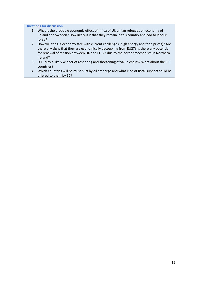<span id="page-17-0"></span>**Questions for discussion**

- 1. What is the probable economic effect of influx of Ukrainian refugees on economy of Poland and Sweden? How likely is it that they remain in this country and add to labour force?
- 2. How will the UK economy fare with current challenges (high energy and food prices)? Are there any signs that they are economically decoupling from EU27? Is there any potential for renewal of tension between UK and EU-27 due to the border mechanism in Northern Ireland?
- 3. Is Turkey a likely winner of reshoring and shortening of value chains? What about the CEE countries?
- 4. Which countries will be must hurt by oil embargo and what kind of fiscal support could be offered to them by EC?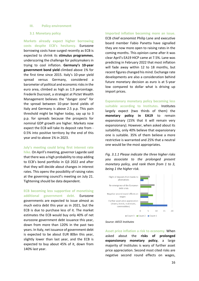#### <span id="page-18-0"></span>**III. Policy environment**

## <span id="page-18-1"></span>**3.1 Monetary policy**

**Markets already expect higher borrowing costs despite ECB's hesitancy.** Eurozone borrowing costs have surged recently as ECB is expected to shrink its **stimulus programmes**, underscoring the challenge for policymakers in trying to cool inflation. **Germany's 10-year government bond yield** climbed above 1% for the first time since 2015. Italy's 10-year yield spread versus Germany, considered a barometer of political and economic risks in the euro area, climbed as high as 1.9 percentage. Frederik Ducrozet, a strategist at Pictet Wealth Management believes the "danger zone" for the spread between 10-year bond yields of Italy and Germany is above 2.5 p.p. This pain threshold might be higher today, say up to 3 p.p. for spreads because the prospects for nominal GDP growth are higher. Markets now expect the ECB will take its deposit rate from - 0.5% into positive territory by the end of this year and to above 1% in 2023.

**July's meeting could bring first interest rate** 

**hike.** On April's meeting, governor Lagarde said that there was a high probability to stop adding to ECB's bond portfolio in Q3 2022 and after that they will decide about changes in interest rates. This opens the possibility of raising rates at the governing council's meeting on July 21. Tightening should be data dependent.

**ECB becoming less supportive of monetising additional government debt.** Eurozone governments are expected to issue almost as much extra debt this year as in 2021, but the ECB is due to purchase less of it. The market estimates the ECB would buy only 40% of net eurozone government debt issuance this year, down from more than 120% in the past two years. In Italy, net issuance of government debt is expected to be about EUR 80bn this year, slightly lower than last year, and the ECB is expected to buy about 45% of it, down from 140% last year.

**Imported inflation becoming more an issue.** ECB chief economist Philip Lane and executive board member Fabio Panetta have signalled they are now more open to raising rates in the coming months. This opinion came after it was clear April's EA19 HICP came at 7.5%. Lane was predicting in February 2022 that most inflation will fade away within 12 to 18 months, but recent figures changed his mind. Exchange rate developments are also a consideration behind future monetary decision as euro is at 5-year low compared to dollar what is driving up import prices.

**Expansionary monetary policy becoming less suitable according to Institutes.** Institutes largely expect (two thirds of them) the **monetary policy in EA19** to remain expansionary (15% that it will remain very expansionary). However, when asked about its suitability, only 40% believe that expansionary one is suitable. 35% of them believe a more restrictive is warranted and 25% that a neutral one would be the most appropriates.

*Fig. 3.1.1 Please indicate the three higher risks you associate to the prolonged present monetary policy, and rank them from 1 to 3, being 1 the higher risk.*





**Asset price inflation a risk to economy.** When asked about the **risks of prolonged expansionary monetary policy**, a large majority of Institutes is wary of further asset price appreciation. Second most cited risks are negative second round effects on wages,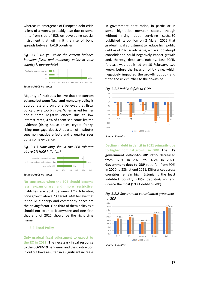whereas re-emergence of European debt crisis is less of a worry, probably also due to some hints from side of ECB on developing special instrument that will limit the rise of bond spreads between EA19 countries.

*Fig. 3.1.2 Do you think the current balance between fiscal and monetary policy in your country is appropriate?*



*Source: AIECE Institutes*

Majority of Institutes believe that the **current balance between fiscal and monetary policy** is appropriate and only one believes that fiscal policy play a too big role. When asked further about some negative effects due to low interest rates, 47% of them see some limited evidence (rising house prices, crypto frenzy, rising mortgage debt). A quarter of Institutes sees no negative effects and a quarter sees quite some evidence.

## *Fig. 3.1.3 How long should the ECB tolerate above 2% HICP inflation?*



*Source: AIECE Institutes*

**No consensus when the ECB should become less expansionary and more restrictive.** Institutes are split between ECB tolerating price growth above 2% target. 44% believe that it should if energy and commodity prices are the driving factor. One third of them believes it should not tolerate it anymore and one fifth that end of 2022 should be the right time frame.

## <span id="page-19-0"></span>**3.2 Fiscal Policy**

**Only gradual fiscal adjustment to expect by the EC in 2023.** The necessary fiscal response to the COVID-19 pandemic and the contraction in output have resulted in a significant increase

in government debt ratios, in particular in some high-debt member states, though without rising debt servicing costs. EC published its opinion on 2 March 2022 that gradual fiscal adjustment to reduce high public debt as of 2023 is advisable, while a too abrupt consolidation could negatively impact growth and, thereby, debt sustainability. Last ECFIN forecast was published on 10 February, two weeks before the invasion of Ukraine, which negatively impacted the growth outlook and tilted the risks further to the downside.





*Source: Eurostat*

**Decline in debt in deficit in 2021 primarily due to higher nominal growth in GDP.** The EU's **government deficit-to-GDP ratio** decreased from -6.8% in 2020 to -4.7% in 2021. **Government debt-to-GDP** ratio fell from 90% in 2020 to 88% at end 2021. Differences across countries remain high. Estonia is the least indebted country (18% debt-to-GDP) and Greece the most (193% debt-to-GDP).





*Source: Eurostat*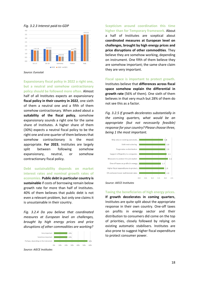

*Fig. 3.2.3 Interest paid-to-GDP*

*Source: Eurostat*

**Expansionary fiscal policy in 2022 a right one, but a neutral and somehow contractionary policy should be followed more often.** Almost half of all Institutes expects an expansionary **fiscal policy in their country in 2022**, one sixth of them a neutral one and a fifth of them somehow contractionary. When asked about a **suitability of the fiscal policy**, somehow expansionary sounds a right one for the same share of Institutes. A higher share of them (30%) expects a neutral fiscal policy to be the right one and one quarter of them believes that somehow contractionary is the most appropriate. **For 2023**, Institutes are largely split between following somehow expansionary, neutral, or somehow contractionary fiscal policy.

**Debt sustainability depends on market interest rates and nominal growth rates of economies. Public debt in particular country is sustainable** if costs of borrowing remain below growth rate for more than half of Institutes. 40% of them believes that public debt is not even a relevant problem, but only one claims it is unsustainable in their country.

*Fig. 3.2.4 Do you believe that coordinated measures at European level on challenges, brought by high energy prices and price disruptions of other commodities are working?*



*Source: AIECE Institutes*

**Scepticism around coordination this time higher than for Temporary framework.** About a half of Institutes are sceptical about **coordinated measures at European level on challenges, brought by high energy prices and price disruptions of other commodities**. They believe they are somehow working, depending on instrument. One fifth of them believe they are somehow important; the same share claim they are very important.

## **Fiscal space is important to protect growth.**

Institutes believe that **differences across fiscal space somehow explain the differential in growth rate** (56% of them). One sixth of them believes in that very much but 28% of them do not see this as a factor.

*Fig. 3.2.5 If growth decelerates substantially in the coming quarters, what would be an appropriate (but not necessarily feasible) response for your country? Please choose three, being 1 the most important.*



*Source: AIECE Institutes*

## **Taxing the beneficiaries of high energy prices.**

**If growth decelerates in coming quarters**, Institutes are quite split about the appropriate response in their own country. One-off taxes on profits in energy sector and their distribution to consumers did come on the top of priorities, closely followed by relying on existing automatic stabilisers. Institutes are also prone to suggest higher fiscal expenditure to protect consumer power.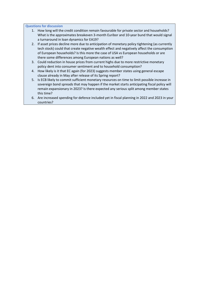<span id="page-21-0"></span>**Questions for discussion**

- 1. How long will the credit condition remain favourable for private sector and households? What is the approximates breakeven 3-month Euribor and 10-year bund that would signal a turnaround in loan dynamics for EA19?
- 2. If asset prices decline more due to anticipation of monetary policy tightening (as currently tech stock) could that create negative wealth effect and negatively affect the consumption of European households? Is this more the case of USA vs European households or are there some differences among European nations as well?
- 3. Could reduction in house prices from current highs due to more restrictive monetary policy dent into consumer sentiment and to household consumption?
- 4. How likely is it that EC again (for 2023) suggests member states using general escape clause already in May after release of its Spring report?
- 5. Is ECB likely to commit sufficient monetary resources on time to limit possible increase in sovereign bond spreads that may happen if the market starts anticipating fiscal policy will remain expansionary in 2023? Is there expected any serious split among member states this time?
- 6. Are increased spending for defence included yet in fiscal planning in 2022 and 2023 in your countries?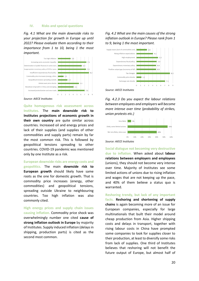## <span id="page-22-0"></span>**IV. Risks and special questions**

*Fig. 4.1 What are the main downside risks to your projection for growth in Europe up until 2022? Please evaluate them according to their importance from 1 to 10, being 1 the most important.*



*Source: AIECE Institutes*

**Quite homogenous risk assessment across Institutes.** The **main downside risk to Institutes projections of economic growth in their own country** are quite similar across countries. Increased oil and energy prices and lack of their supplies (and supplies of other commodities and supply parts) remain by far the most common risk. This is followed by geopolitical tensions spreading to other countries. COVID-19 pandemic was mentioned only by one Institute as a risk.

**European downside risks are energy costs and geopolitics.** The main **downside risk to European growth** should likely have same roots as the one for domestic growth. That is commodity price increases (energy, other commodities) and geopolitical tensions, spreading outside Ukraine to neighbouring countries. Too high inflation was also commonly cited.

**High energy prices and supply chain issues causing inflation.** Commodity price shock was overwhelmingly number one cited **cause of strong inflation outlook in Europe** by majority of Institutes. Supply induced inflation (delays in shipping, production parts) is cited as the second most common.

# *Fig. 4.2 What are the main causes of the strong inflation outlook in Europe? Please rank from 1 to 9, being 1 the most important.*



*Fig. 4.2.3 Do you expect the labour relations between employees and employers will become more intense over time (probability of strikes, union protests etc.)*



**Social dialogue not becoming very destructive due to inflation.** When asked about **labour relations between employers and employees** (unions), they should not become very intense over time. Majority of Institutes see some limited actions of unions due to rising inflation and wages that are not keeping up the pace, and 40% of them believe a status quo is warranted.

**Reshoring trendy, but lack of any important facts. Reshoring and shortening of supply chains** is again becoming more of an issue for European companies, especially for large multinationals that built their model around cheap production from Asia. Higher shipping costs and delays in transport, together with rising labour costs in China have prompted some companies to look for supplies closer to their production, at least to diversify some risks from lack of supplies. One third of Institutes believes that reshoring will not benefit the future output of Europe, but almost half of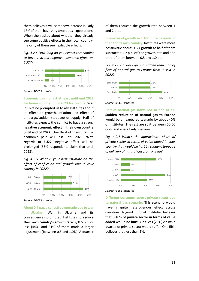them believes it will somehow increase it. Only 18% of them have very ambitious expectations. When then asked about whether they already see some positive effects in their own country, majority of them see negligible effects.

*Fig. 4.2.4 How long do you expect this conflict to have a strong negative economic effect on EU27?*



*Source: AIECE Institutes*

**Economic pain to last at least until end 2022 for home country, until 2023 for Europe.** War in Ukraine prompted us to ask Institutes about its effect on growth, inflation and effect of embargo/sudden stoppage of supply. Half of Institutes expects the conflict to have a strong **negative economic effect in their own country until end of 2022**. One third of them that the economic pain will last until 2023. **With regards to EU27**, negative effect will be prolonged (53% respondents claim that until 2023).

*Fig. 4.2.5 What is your best estimate on the effect of conflict on real growth rate in your country in 2022?*



*Source: AIECE Institutes*

**About 0.7 p.p. a central downgrade due to war in Ukraine.** War in Ukraine and its consequences prompted Institutes to **reduce their own country's growth rate** by 0.5 p.p. or less (44%) and 31% of them made a larger adjustment (between 0.5 and 1.0%). A quarter

of them reduced the growth rate between 1 and 2 p.p..

**Estimates of growth in EU27 more pessimistic than for its own country.** Institutes were more pessimistic **about EU27 growth** as half of them subtracted 1-2 p.p. off the growth rate and one third of them between 0.5 and 1.0 p.p.

*Fig. 4.2.6 Do you expect a sudden reduction of flow of natural gas to Europe from Russia in 2022?*



*Source: AIECE Institutes*

**Halt of natural gas flows not so odd at all. Sudden reduction of natural gas to Europe** would be an expected scenario by about 40% of Institutes. The rest are split between 50:50 odds and a less likely scenario.

*Fig. 4.2.7 What's the approximate share of private sector in terms of value added in your country that would be hurt by sudden stoppage of delivery of natural gas from Russia?*





**Different outcomes across private sector due to natural gas scenario.** This scenario would have a quite heterogenous effect across countries. A good third of Institutes believes that 5-10% of **private sector in terms of value added would be hurt**. A bit less (29%) claims a quarter of private sector would suffer. One fifth believes that less than 5%.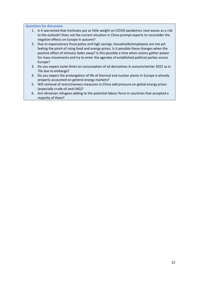<span id="page-24-0"></span>**Questions for discussion**

- 1. Is it warranted that Institutes put so little weight on COVID pandemics next waves as a risk to the outlook? Does not the current situation in China prompt experts to reconsider the negative effects on Europe in autumn?
- 2. Due to expansionary fiscal policy and high savings, households/employees are not yet feeling the pinch of rising food and energy prices. Is it possible these changes when the positive effect of stimulus fades away? Is this possible a time when unions gather power for mass movements and try to enter the agendas of established political parties across Europe?
- 3. Do you expect some limits on consumption of oil derivatives in autumn/winter 2022 as in 70s due to embargo?
- 4. Do you expect the prolongation of life of thermal and nuclear plants in Europe is already properly accounted on general energy markets?
- 5. Will removal of restrictiveness measures in China add pressure on global energy prices (especially crude oil and LNG)?
- 6. Are Ukrainian refugees adding to the potential labour force in countries that accepted a majority of them?